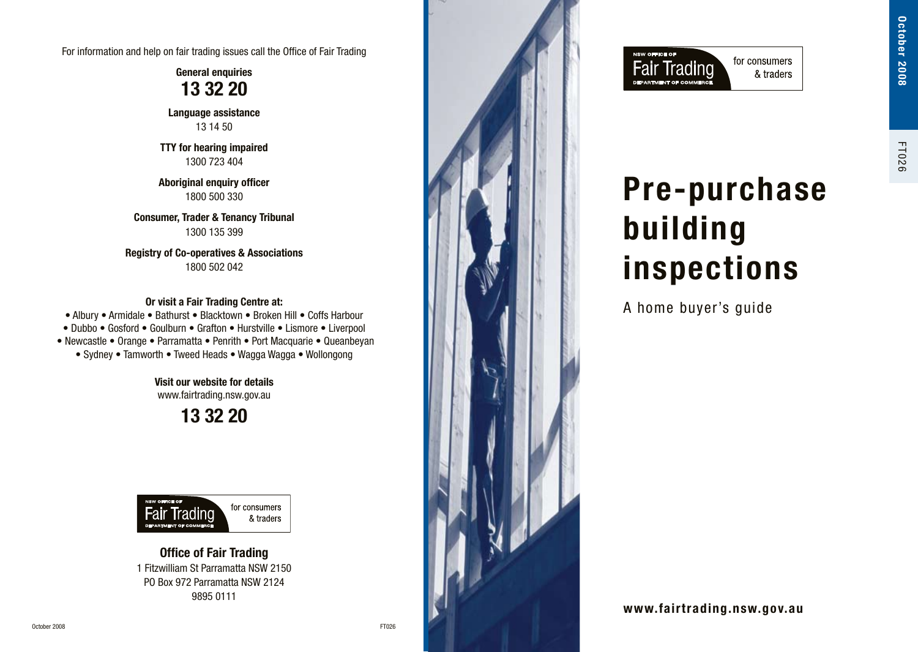For information and help on fair trading issues call the Office of Fair Trading

**General enquiries 13 32 20**

**Language assistance**  13 14 50

**TTY for hearing impaired**  1300 723 404

**Aboriginal enquiry officer**  1800 500 330

**Consumer, Trader & Tenancy Tribunal**  1300 135 399

**Registry of Co-operatives & Associations**  1800 502 042

**Or visit a Fair Trading Centre at:**  • Albury • Armidale • Bathurst • Blacktown • Broken Hill • Coffs Harbour • Dubbo • Gosford • Goulburn • Grafton • Hurstville • Lismore • Liverpool • Newcastle • Orange • Parramatta • Penrith • Port Macquarie • Queanbeyan • Sydney • Tamworth • Tweed Heads • Wagga Wagga • Wollongong

> **Visit our website for details** www.fairtrading.nsw.gov.au

> > **13 32 20**



**Office of Fair Trading**  1 Fitzwilliam St Parramatta NSW 2150 PO Box 972 Parramatta NSW 2124 9895 0111





# **Pre-purchase building inspections**

A home buyer's guide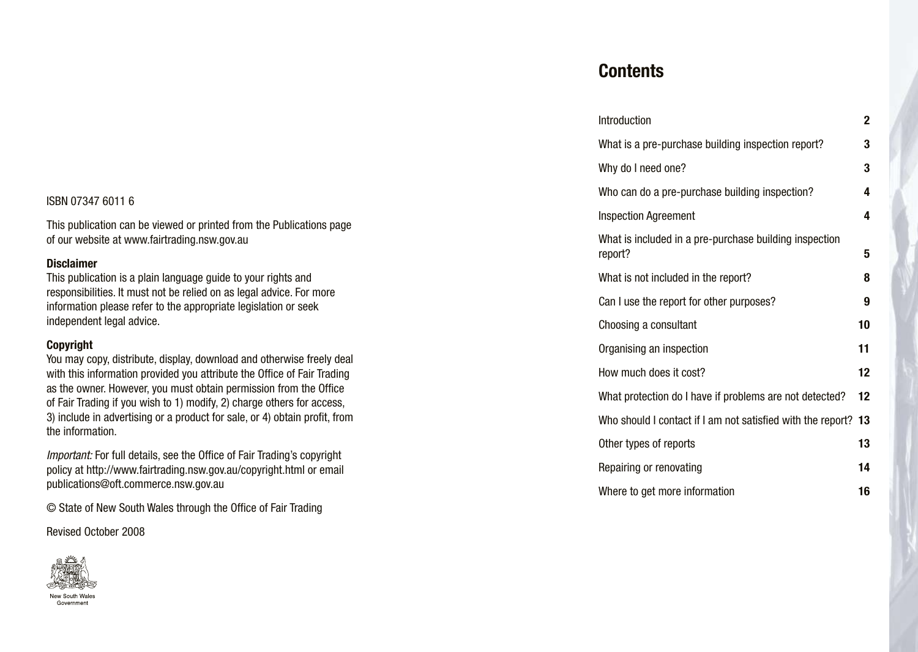#### ISBN 07347 6011 6

This publication can be viewed or printed from the Publications page of our website at www.fairtrading.nsw.gov.au

#### **Disclaimer**

This publication is a plain language guide to your rights and responsibilities. It must not be relied on as legal advice. For more information please refer to the appropriate legislation or seek independent legal advice.

#### **Copyright**

You may copy, distribute, display, download and otherwise freely deal with this information provided you attribute the Office of Fair Trading as the owner. However, you must obtain permission from the Office of Fair Trading if you wish to 1) modify, 2) charge others for access, 3) include in advertising or a product for sale, or 4) obtain profit, from the information.

*Important:* For full details, see the Office of Fair Trading's copyright policy at http://www.fairtrading.nsw.gov.au/copyright.html or email publications@oft.commerce.nsw.gov.au

© State of New South Wales through the Office of Fair Trading

Revised October 2008



### **Contents**

| Introduction                                                      | 2  |
|-------------------------------------------------------------------|----|
| What is a pre-purchase building inspection report?                | 3  |
| Why do I need one?                                                | 3  |
| Who can do a pre-purchase building inspection?                    | 4  |
| <b>Inspection Agreement</b>                                       | 4  |
| What is included in a pre-purchase building inspection<br>report? | 5  |
| What is not included in the report?                               | 8  |
| Can I use the report for other purposes?                          | 9  |
| Choosing a consultant                                             | 10 |
| Organising an inspection                                          | 11 |
| How much does it cost?                                            | 12 |
| What protection do I have if problems are not detected?           | 12 |
| Who should I contact if I am not satisfied with the report?       | 13 |
| Other types of reports                                            | 13 |
| Repairing or renovating                                           | 14 |
| Where to get more information                                     | 16 |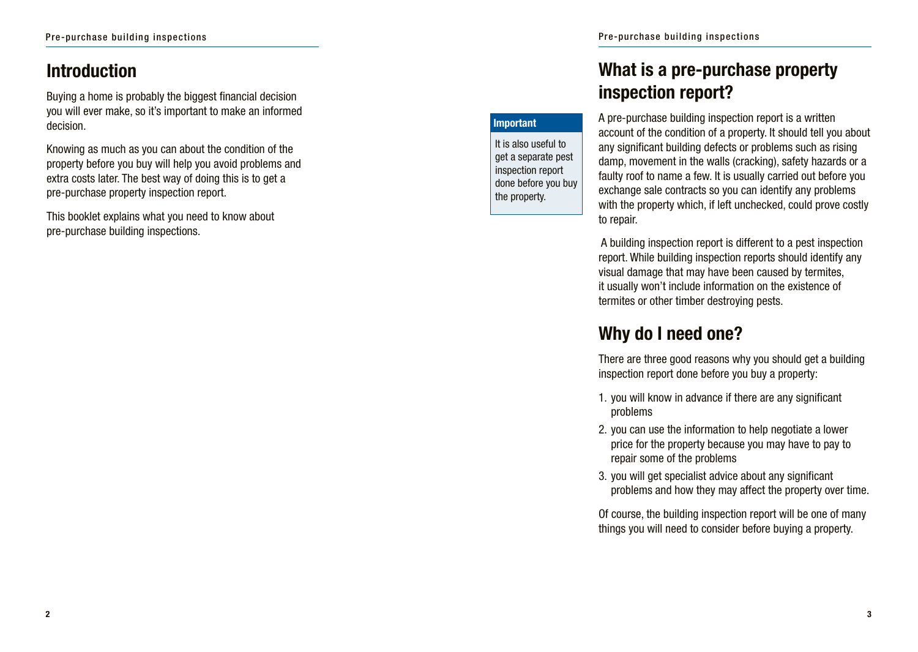### **Introduction**

Buying a home is probably the biggest financial decision you will ever make, so it's important to make an informed decision.

Knowing as much as you can about the condition of the property before you buy will help you avoid problems and extra costs later. The best way of doing this is to get a pre-purchase property inspection report.

This booklet explains what you need to know about pre-purchase building inspections.

# **What is a pre-purchase property inspection report?**

#### **Important**

It is also useful to get a separate pest inspection report done before you buy the property.

A pre-purchase building inspection report is a written account of the condition of a property. It should tell you about any significant building defects or problems such as rising damp, movement in the walls (cracking), safety hazards or a faulty roof to name a few. It is usually carried out before you exchange sale contracts so you can identify any problems with the property which, if left unchecked, could prove costly to repair.

 A building inspection report is different to a pest inspection report. While building inspection reports should identify any visual damage that may have been caused by termites, it usually won't include information on the existence of termites or other timber destroying pests.

# **Why do I need one?**

There are three good reasons why you should get a building inspection report done before you buy a property:

- 1. you will know in advance if there are any significant problems
- 2. you can use the information to help negotiate a lower price for the property because you may have to pay to repair some of the problems
- 3. you will get specialist advice about any significant problems and how they may affect the property over time.

Of course, the building inspection report will be one of many things you will need to consider before buying a property.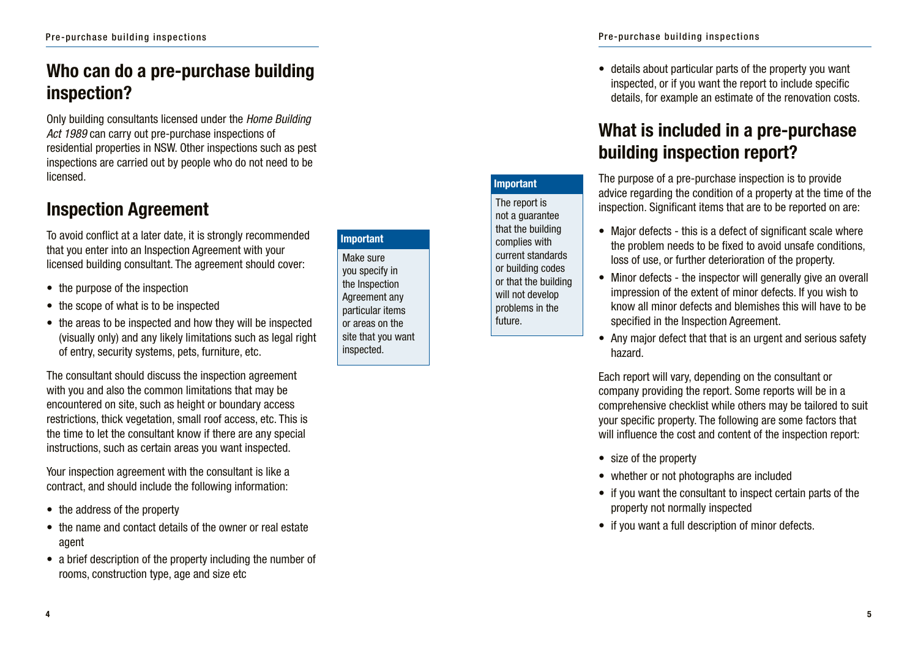# **Who can do a pre-purchase building inspection?**

Only building consultants licensed under the *Home Building Act 1989* can carry out pre-purchase inspections of residential properties in NSW. Other inspections such as pest inspections are carried out by people who do not need to be licensed.

### **Inspection Agreement**

To avoid conflict at a later date, it is strongly recommended that you enter into an Inspection Agreement with your licensed building consultant. The agreement should cover:

- the purpose of the inspection
- the scope of what is to be inspected
- the areas to be inspected and how they will be inspected (visually only) and any likely limitations such as legal right of entry, security systems, pets, furniture, etc.

The consultant should discuss the inspection agreement with you and also the common limitations that may be encountered on site, such as height or boundary access restrictions, thick vegetation, small roof access, etc. This is the time to let the consultant know if there are any special instructions, such as certain areas you want inspected.

Your inspection agreement with the consultant is like a contract, and should include the following information:

- the address of the property
- the name and contact details of the owner or real estate agent
- a brief description of the property including the number of rooms, construction type, age and size etc

**Important**

Make sure you specify in the Inspection Agreement any particular items or areas on the site that you want inspected.

• details about particular parts of the property you want inspected, or if you want the report to include specific details, for example an estimate of the renovation costs.

# **What is included in a pre-purchase building inspection report?**

**Important**

The report is not a guarantee that the building complies with current standards or building codes or that the building will not develop problems in the future.

The purpose of a pre-purchase inspection is to provide advice regarding the condition of a property at the time of the inspection. Significant items that are to be reported on are:

- Major defects this is a defect of significant scale where the problem needs to be fixed to avoid unsafe conditions, loss of use, or further deterioration of the property.
- Minor defects the inspector will generally give an overall impression of the extent of minor defects. If you wish to know all minor defects and blemishes this will have to be specified in the Inspection Agreement.
- Any major defect that that is an urgent and serious safety hazard.

Each report will vary, depending on the consultant or company providing the report. Some reports will be in a comprehensive checklist while others may be tailored to suit your specific property. The following are some factors that will influence the cost and content of the inspection report:

- size of the property
- whether or not photographs are included
- if you want the consultant to inspect certain parts of the property not normally inspected
- if you want a full description of minor defects.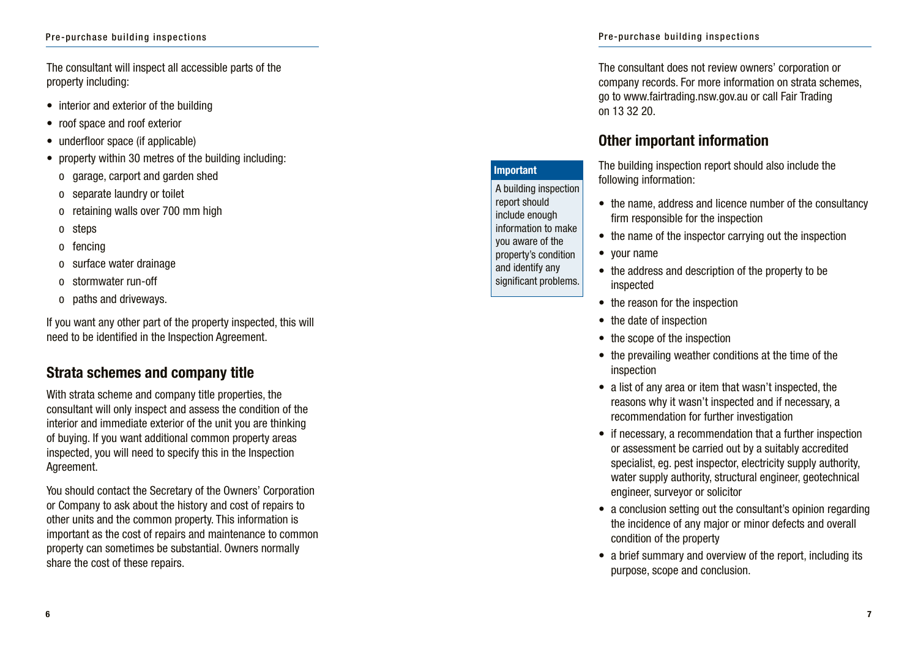The consultant will inspect all accessible parts of the property including:

- interior and exterior of the building
- roof space and roof exterior
- underfloor space (if applicable)
- property within 30 metres of the building including:
	- o garage, carport and garden shed
	- o separate laundry or toilet
	- o retaining walls over 700 mm high
	- o steps
	- o fencing
	- o surface water drainage
	- o stormwater run-off
	- o paths and driveways.

If you want any other part of the property inspected, this will need to be identified in the Inspection Agreement.

### **Strata schemes and company title**

With strata scheme and company title properties, the consultant will only inspect and assess the condition of the interior and immediate exterior of the unit you are thinking of buying. If you want additional common property areas inspected, you will need to specify this in the Inspection Agreement.

You should contact the Secretary of the Owners' Corporation or Company to ask about the history and cost of repairs to other units and the common property. This information is important as the cost of repairs and maintenance to common property can sometimes be substantial. Owners normally share the cost of these repairs.

The consultant does not review owners' corporation or company records. For more information on strata schemes, go to www.fairtrading.nsw.gov.au or call Fair Trading on 13 32 20.

### **Other important information**

The building inspection report should also include the following information:

- the name, address and licence number of the consultancy firm responsible for the inspection
- the name of the inspector carrying out the inspection
- your name
- the address and description of the property to be inspected
- the reason for the inspection
- the date of inspection
- the scope of the inspection
- the prevailing weather conditions at the time of the inspection
- a list of any area or item that wasn't inspected, the reasons why it wasn't inspected and if necessary, a recommendation for further investigation
- if necessary, a recommendation that a further inspection or assessment be carried out by a suitably accredited specialist, eg. pest inspector, electricity supply authority, water supply authority, structural engineer, geotechnical engineer, surveyor or solicitor
- a conclusion setting out the consultant's opinion regarding the incidence of any major or minor defects and overall condition of the property
- a brief summary and overview of the report, including its purpose, scope and conclusion.

#### **Important** A building inspection report should include enough

information to make you aware of the property's condition and identify any significant problems.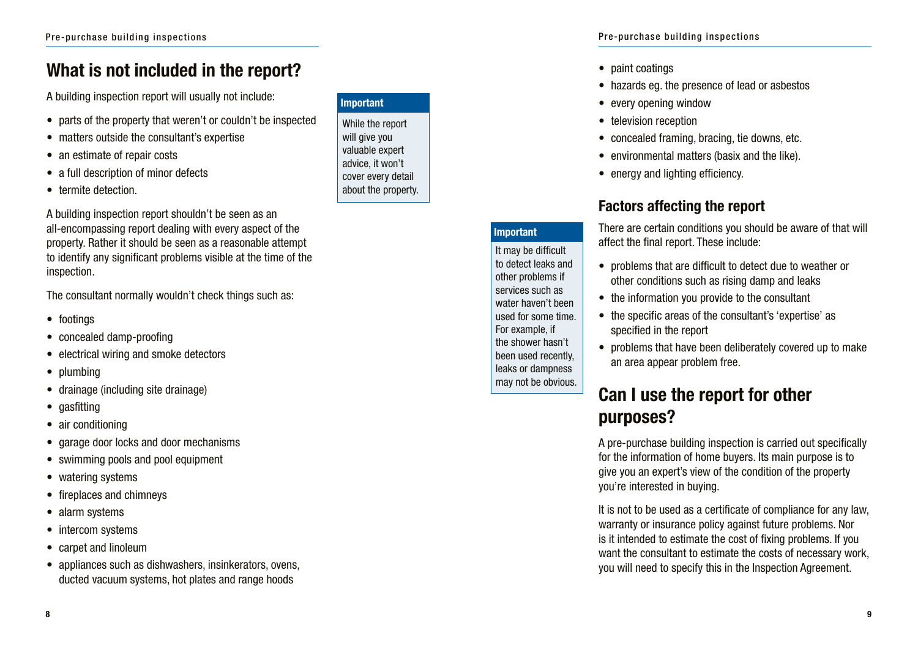# **What is not included in the report?**

A building inspection report will usually not include:

- parts of the property that weren't or couldn't be inspected
- matters outside the consultant's expertise
- an estimate of repair costs
- a full description of minor defects
- termite detection.

A building inspection report shouldn't be seen as an all-encompassing report dealing with every aspect of the property. Rather it should be seen as a reasonable attempt to identify any significant problems visible at the time of the inspection.

The consultant normally wouldn't check things such as:

- footings
- concealed damp-proofing
- electrical wiring and smoke detectors
- plumbing
- drainage (including site drainage)
- gasfitting
- air conditioning
- garage door locks and door mechanisms
- swimming pools and pool equipment
- watering systems
- fireplaces and chimneys
- alarm systems
- intercom systems
- carpet and linoleum
- appliances such as dishwashers, insinkerators, ovens, ducted vacuum systems, hot plates and range hoods

#### **Important**

While the report will give you valuable expert advice, it won't cover every detail about the property.

#### Pre-purchase building inspections

• paint coatings

**Important**

It may be difficult to detect leaks and other problems if services such as water haven't been used for some time. For example, if the shower hasn't been used recently, leaks or dampness may not be obvious.

- hazards eg. the presence of lead or asbestos
- every opening window
- television reception
- concealed framing, bracing, tie downs, etc.
- environmental matters (basix and the like).
- energy and lighting efficiency.

### **Factors affecting the report**

There are certain conditions you should be aware of that will affect the final report. These include:

- problems that are difficult to detect due to weather or other conditions such as rising damp and leaks
- the information you provide to the consultant
- the specific areas of the consultant's 'expertise' as specified in the report
- problems that have been deliberately covered up to make an area appear problem free.

# **Can I use the report for other purposes?**

A pre-purchase building inspection is carried out specifically for the information of home buyers. Its main purpose is to give you an expert's view of the condition of the property you're interested in buying.

It is not to be used as a certificate of compliance for any law, warranty or insurance policy against future problems. Nor is it intended to estimate the cost of fixing problems. If you want the consultant to estimate the costs of necessary work, you will need to specify this in the Inspection Agreement.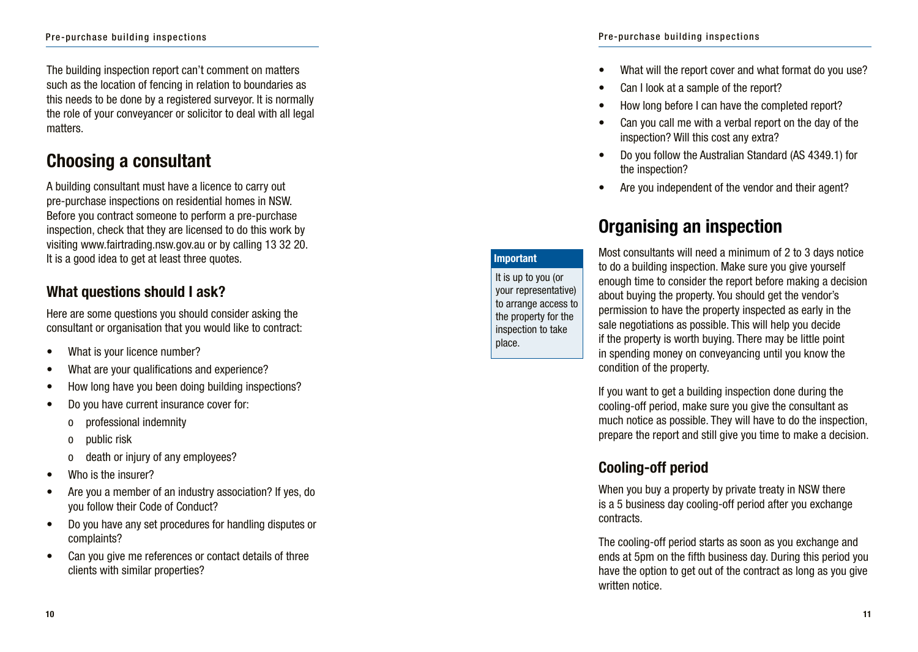The building inspection report can't comment on matters such as the location of fencing in relation to boundaries as this needs to be done by a registered surveyor. It is normally the role of your conveyancer or solicitor to deal with all legal matters.

# **Choosing a consultant**

A building consultant must have a licence to carry out pre-purchase inspections on residential homes in NSW. Before you contract someone to perform a pre-purchase inspection, check that they are licensed to do this work by visiting www.fairtrading.nsw.gov.au or by calling 13 32 20. It is a good idea to get at least three quotes.

### **What questions should I ask?**

Here are some questions you should consider asking the consultant or organisation that you would like to contract:

- 
- What is your licence number?<br>What are your qualifications and experience?
- How long have you been doing building inspections?
- Do you have current insurance cover for:
	- o professional indemnity
	- o public risk
	- o death or injury of any employees?
- Who is the insurer?
- Are you a member of an industry association? If yes, do you follow their Code of Conduct?
- Do you have any set procedures for handling disputes or complaints?
- Can you give me references or contact details of three clients with similar properties?
- What will the report cover and what format do you use?
- Can I look at a sample of the report?
- How long before I can have the completed report?
- Can you call me with a verbal report on the day of the inspection? Will this cost any extra?
- Do you follow the Australian Standard (AS 4349.1) for the inspection?
- Are you independent of the vendor and their agent?

# **Organising an inspection**

**Important**

It is up to you (or your representative) to arrange access to the property for the inspection to take place.

Most consultants will need a minimum of 2 to 3 days notice to do a building inspection. Make sure you give yourself enough time to consider the report before making a decision about buying the property. You should get the vendor's permission to have the property inspected as early in the sale negotiations as possible. This will help you decide if the property is worth buying. There may be little point in spending money on conveyancing until you know the condition of the property.

If you want to get a building inspection done during the cooling-off period, make sure you give the consultant as much notice as possible. They will have to do the inspection, prepare the report and still give you time to make a decision.

### **Cooling-off period**

When you buy a property by private treaty in NSW there is a 5 business day cooling-off period after you exchange contracts.

The cooling-off period starts as soon as you exchange and ends at 5pm on the fifth business day. During this period you have the option to get out of the contract as long as you give written notice.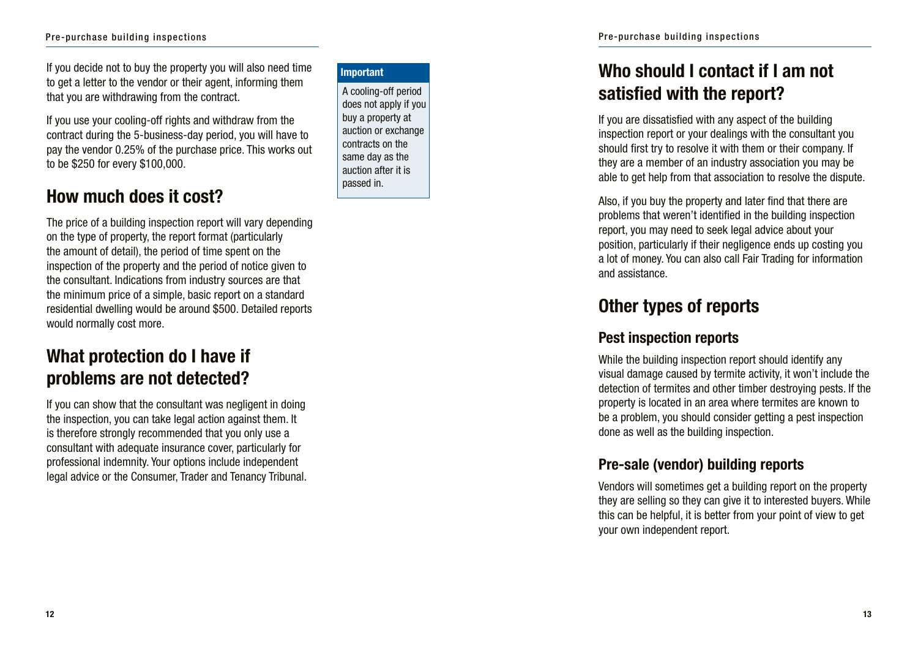#### Pre-purchase building inspections

If you decide not to buy the property you will also need time to get a letter to the vendor or their agent, informing them that you are withdrawing from the contract.

If you use your cooling-off rights and withdraw from the contract during the 5-business-day period, you will have to pay the vendor 0.25% of the purchase price. This works out to be \$250 for every \$100,000.

### **How much does it cost?**

The price of a building inspection report will vary depending on the type of property, the report format (particularly the amount of detail), the period of time spent on the inspection of the property and the period of notice given to the consultant. Indications from industry sources are that the minimum price of a simple, basic report on a standard residential dwelling would be around \$500. Detailed reports would normally cost more.

### **What protection do I have if problems are not detected?**

If you can show that the consultant was negligent in doing the inspection, you can take legal action against them. It is therefore strongly recommended that you only use a consultant with adequate insurance cover, particularly for professional indemnity. Your options include independent legal advice or the Consumer, Trader and Tenancy Tribunal.

#### **Important**

A cooling-off period does not apply if you buy a property at auction or exchange contracts on the same day as the auction after it is passed in.

# **Who should I contact if I am not satisfied with the report?**

If you are dissatisfied with any aspect of the building inspection report or your dealings with the consultant you should first try to resolve it with them or their company. If they are a member of an industry association you may be able to get help from that association to resolve the dispute.

Also, if you buy the property and later find that there are problems that weren't identified in the building inspection report, you may need to seek legal advice about your position, particularly if their negligence ends up costing you a lot of money. You can also call Fair Trading for information and assistance.

### **Other types of reports**

### **Pest inspection reports**

While the building inspection report should identify any visual damage caused by termite activity, it won't include the detection of termites and other timber destroying pests. If the property is located in an area where termites are known to be a problem, you should consider getting a pest inspection done as well as the building inspection.

### **Pre-sale (vendor) building reports**

Vendors will sometimes get a building report on the property they are selling so they can give it to interested buyers. While this can be helpful, it is better from your point of view to get your own independent report.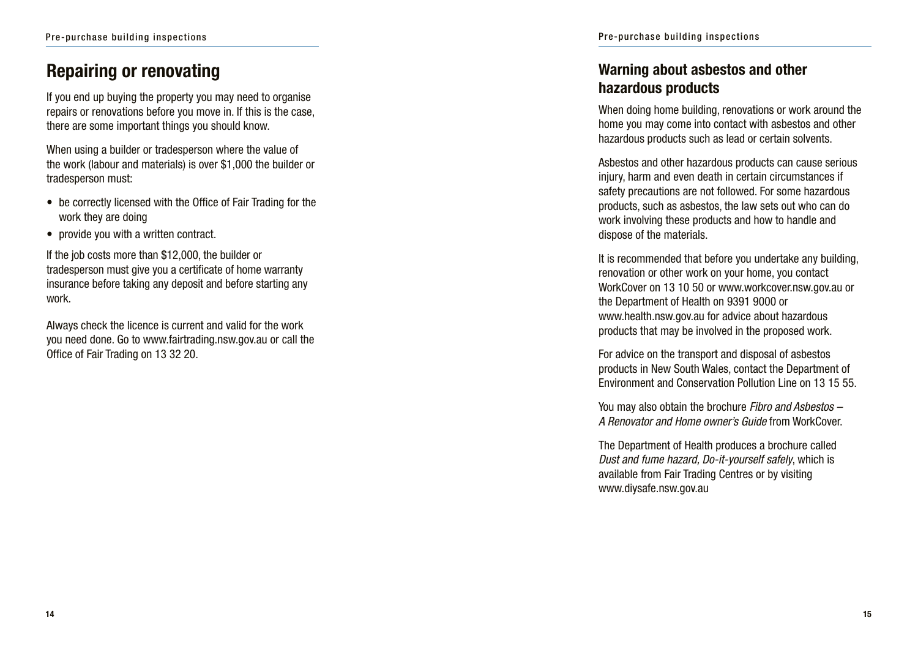### **Repairing or renovating**

If you end up buying the property you may need to organise repairs or renovations before you move in. If this is the case, there are some important things you should know.

When using a builder or tradesperson where the value of the work (labour and materials) is over \$1,000 the builder or tradesperson must:

- be correctly licensed with the Office of Fair Trading for the work they are doing
- provide you with a written contract.

If the job costs more than \$12,000, the builder or tradesperson must give you a certificate of home warranty insurance before taking any deposit and before starting any work.

Always check the licence is current and valid for the work you need done. Go to www.fairtrading.nsw.gov.au or call the Office of Fair Trading on 13 32 20.

### **Warning about asbestos and other hazardous products**

When doing home building, renovations or work around the home you may come into contact with asbestos and other hazardous products such as lead or certain solvents.

Asbestos and other hazardous products can cause serious injury, harm and even death in certain circumstances if safety precautions are not followed. For some hazardous products, such as asbestos, the law sets out who can do work involving these products and how to handle and dispose of the materials.

It is recommended that before you undertake any building, renovation or other work on your home, you contact WorkCover on 13 10 50 or www.workcover.nsw.gov.au or the Department of Health on 9391 9000 or www.health.nsw.gov.au for advice about hazardous products that may be involved in the proposed work.

For advice on the transport and disposal of asbestos products in New South Wales, contact the Department of Environment and Conservation Pollution Line on 13 15 55.

You may also obtain the brochure *Fibro and Asbestos – A Renovator and Home owner's Guide* from WorkCover.

The Department of Health produces a brochure called *Dust and fume hazard, Do-it-yourself safely*, which is available from Fair Trading Centres or by visiting www.diysafe.nsw.gov.au